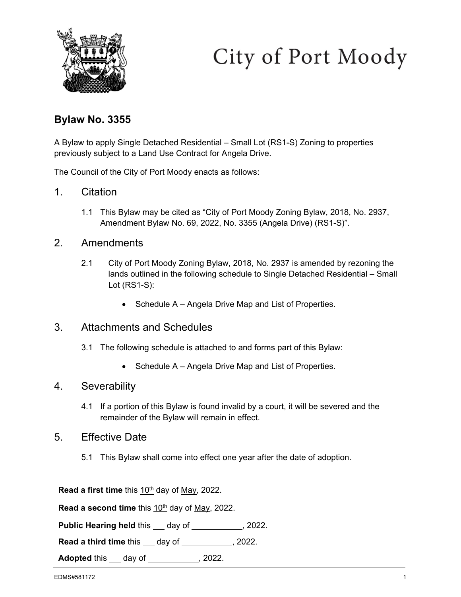

# City of Port Moody

## **Bylaw No. 3355**

A Bylaw to apply Single Detached Residential – Small Lot (RS1-S) Zoning to properties previously subject to a Land Use Contract for Angela Drive.

The Council of the City of Port Moody enacts as follows:

- 1. Citation
	- 1.1 This Bylaw may be cited as "City of Port Moody Zoning Bylaw, 2018, No. 2937, Amendment Bylaw No. 69, 2022, No. 3355 (Angela Drive) (RS1-S)".

## 2. Amendments

- 2.1 City of Port Moody Zoning Bylaw, 2018, No. 2937 is amended by rezoning the lands outlined in the following schedule to Single Detached Residential – Small Lot (RS1-S):
	- Schedule A Angela Drive Map and List of Properties.

## 3. Attachments and Schedules

- 3.1 The following schedule is attached to and forms part of this Bylaw:
	- Schedule A Angela Drive Map and List of Properties.

## 4. Severability

4.1 If a portion of this Bylaw is found invalid by a court, it will be severed and the remainder of the Bylaw will remain in effect.

#### 5. Effective Date

5.1 This Bylaw shall come into effect one year after the date of adoption.

**Read a first time** this 10<sup>th</sup> day of May, 2022.

Read a second time this 10<sup>th</sup> day of May, 2022.

**Public Hearing held this \_\_ day of \_\_\_\_\_\_\_\_\_\_, 2022.** 

**Read a third time** this \_\_\_ day of \_\_\_\_\_\_\_\_\_\_\_, 2022.

**Adopted** this \_\_\_ day of \_\_\_\_\_\_\_\_\_\_\_, 2022.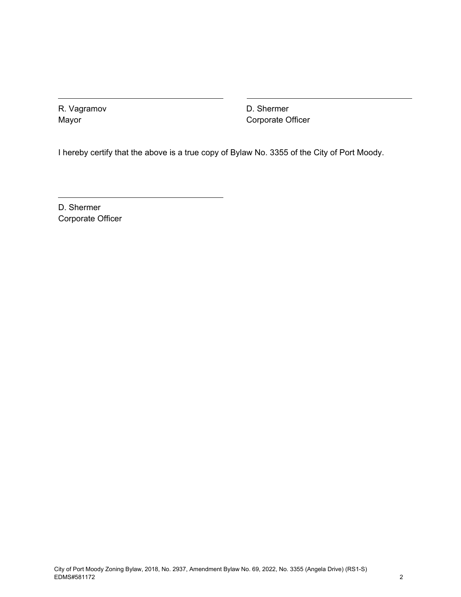R. Vagramov Mayor

D. Shermer Corporate Officer

I hereby certify that the above is a true copy of Bylaw No. 3355 of the City of Port Moody.

D. Shermer Corporate Officer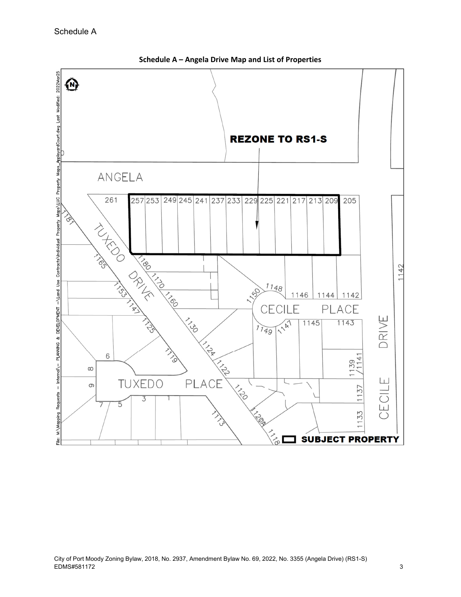

**Schedule A – Angela Drive Map and List of Properties**